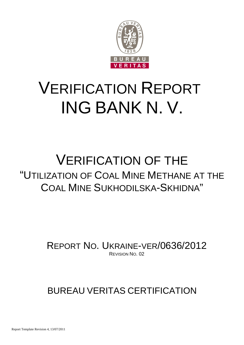

# VERIFICATION REPORT ING BANK N. V.

## VERIFICATION OF THE "UTILIZATION OF COAL MINE METHANE AT THE COAL MINE SUKHODILSKA-SKHIDNA"

REPORT NO. UKRAINE-VER/0636/2012 REVISION NO. 02

### BUREAU VERITAS CERTIFICATION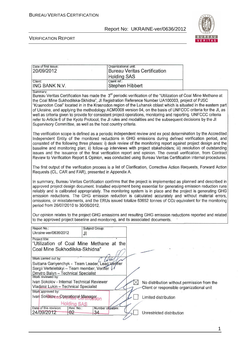

#### VERIFICATION REPORT

| Date of first issue:<br>20/09/2012 | Organizational unit:<br><b>Bureau Veritas Certification</b> |
|------------------------------------|-------------------------------------------------------------|
|                                    | <b>Holding SAS</b>                                          |
| Client:                            | Client ref.:                                                |
| ING BANK N.V.<br>Summary:          | Stephen Hibbert                                             |

Bureau Veritas Certification has made the 3<sup>rd</sup> periodic verification of the "Utilization of Coal Mine Methane at the Coal Mine Sukhodilska-Skhidna", Jl Registration Reference Number UA100003, project of PJSC "Krasnodon Coal" located in in the Krasnodon region of the Luhansk oblast which is situated in the eastern part of Ukraine, and applying the methodology ACM0008 version 04, on the basis of UNFCCC criteria for the JI, as well as criteria given to provide for consistent project operations, monitoring and reporting. UNFCCC criteria refer to Article 6 of the Kyoto Protocol, the JI rules and modalities and the subsequent decisions by the JI Supervisory Committee, as well as the host country criteria.

The verification scope is defined as a periodic independent review and ex post determination by the Accredited Independent Entity of the monitored reductions in GHG emissions during defined verification period, and consisted of the following three phases: i) desk review of the monitoring report against project design and the baseline and monitoring plan; ii) follow-up interviews with project stakeholders; iii) resolution of outstanding issues and the issuance of the final verification report and opinion. The overall verification, from Contract Review to Verification Report & Opinion, was conducted using Bureau Veritas Certification internal procedures.

The first output of the verification process is a list of Clarification, Corrective Action Requests, Forward Action Requests (CL, CAR and FAR), presented in Appendix A.

In summary, Bureau Veritas Certification confirms that the project is implemented as planned and described in approved project design document. Installed equipment being essential for generating emission reduction runs reliably and is calibrated appropriately. The monitoring system is in place and the project is generating GHG emission reductions. The GHG emission reduction is calculated accurately and without material errors, omissions, or misstatements, and the ERUs issued totalize 63652 tonnes of CO2 equivalent for the monitoring period from 26/07/2010 to 30/06/2012.

Our opinion relates to the project GHG emissions and resulting GHG emission reductions reported and related to the approved project baseline and monitoring, and its associated documents.

| Report No.:                                       | Subject Group:   |                                             |
|---------------------------------------------------|------------------|---------------------------------------------|
| Ukraine-ver/0636/2012                             | JI               |                                             |
| Project title:                                    |                  |                                             |
| "Utilization of Coal Mine Methane at the          |                  |                                             |
| Coal Mine Sukhodilska-Skhidna"                    |                  |                                             |
|                                                   |                  |                                             |
| Work carried out by:                              |                  |                                             |
| Svitlana Gariyenchyk - Team Leader, Lead Verifier |                  |                                             |
| Sergii Verteletskyi - Team member, Veriffer V     |                  |                                             |
| Dmytro Balyn - Technical Specialist               |                  |                                             |
| Work reviewed by:                                 |                  |                                             |
| Ivan Sokolov - Internal Technical Reviewer        |                  | No distribution without permission from the |
| Vladimir Lukin - Technical Specialist             |                  | Client or responsible organizational unit   |
| Work approved by:                                 |                  |                                             |
| Ivan Sokolovea@perational Manageron               |                  | Limited distribution                        |
| Holding SAS                                       |                  |                                             |
| Date of this revision:<br>Rev. No.:               | Number of pages: |                                             |
| 24/09/2012<br>$-02$                               | 34               | Unrestricted distribution                   |
|                                                   |                  |                                             |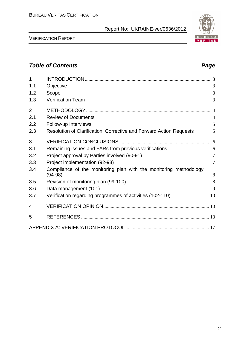VERIFICATION REPORT

| 1<br>1.1 | Objective                                                                      | 3              |
|----------|--------------------------------------------------------------------------------|----------------|
| 1.2      | Scope                                                                          | 3              |
| 1.3      | <b>Verification Team</b>                                                       | 3              |
| 2        |                                                                                |                |
| 2.1      | <b>Review of Documents</b>                                                     | $\overline{4}$ |
| 2.2      | Follow-up Interviews                                                           | 5              |
| 2.3      | Resolution of Clarification, Corrective and Forward Action Requests            | 5              |
| 3        |                                                                                |                |
| 3.1      | Remaining issues and FARs from previous verifications                          | 6              |
| 3.2      | Project approval by Parties involved (90-91)                                   | $\tau$         |
| 3.3      | Project implementation (92-93)                                                 | $\overline{7}$ |
| 3.4      | Compliance of the monitoring plan with the monitoring methodology<br>$(94-98)$ | 8              |
| 3.5      | Revision of monitoring plan (99-100)                                           | 8              |
| 3.6      | Data management (101)                                                          | 9              |
| 3.7      | Verification regarding programmes of activities (102-110)                      | 10             |
| 4        |                                                                                |                |
| 5        |                                                                                |                |
|          |                                                                                |                |

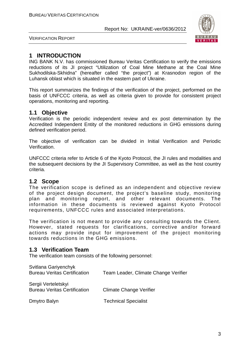

VERIFICATION REPORT

### **1 INTRODUCTION**

ING BANK N.V. has commissioned Bureau Veritas Certification to verify the emissions reductions of its JI project "Utilization of Coal Mine Methane at the Coal Mine Sukhodilska-Skhidna" (hereafter called "the project") at Krasnodon region of the Luhansk oblast which is situated in the eastern part of Ukraine.

This report summarizes the findings of the verification of the project, performed on the basis of UNFCCC criteria, as well as criteria given to provide for consistent project operations, monitoring and reporting.

#### **1.1 Objective**

Verification is the periodic independent review and ex post determination by the Accredited Independent Entity of the monitored reductions in GHG emissions during defined verification period.

The objective of verification can be divided in Initial Verification and Periodic Verification.

UNFCCC criteria refer to Article 6 of the Kyoto Protocol, the JI rules and modalities and the subsequent decisions by the JI Supervisory Committee, as well as the host country criteria.

#### **1.2 Scope**

The verification scope is defined as an independent and objective review of the project design document, the project's baseline study, monitoring plan and monitoring report, and other relevant documents. The information in these documents is reviewed against Kyoto Protocol requirements, UNFCCC rules and associated interpretations.

The verification is not meant to provide any consulting towards the Client. However, stated requests for clarifications, corrective and/or forward actions may provide input for improvement of the project monitoring towards reductions in the GHG emissions.

#### **1.3 Verification Team**

The verification team consists of the following personnel:

| Svitlana Gariyenchyk<br><b>Bureau Veritas Certification</b> | Team Leader, Climate Change Verifier |
|-------------------------------------------------------------|--------------------------------------|
| Sergii Verteletskyi<br><b>Bureau Veritas Certification</b>  | <b>Climate Change Verifier</b>       |
| Dmytro Balyn                                                | <b>Technical Specialist</b>          |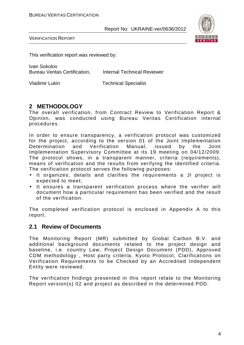

VERIFICATION REPORT

This verification report was reviewed by:

Ivan Sokolov Bureau Veritas Certification, Internal Technical Reviewer

Vladimir Lukin Technical Specialist

#### **2 METHODOLOGY**

The overall verification, from Contract Review to Verification Report & Opinion, was conducted using Bureau Veritas Certification internal procedures.

In order to ensure transparency, a verification protocol was customized for the project, according to the version 01 of the Joint Implementation Determination and Verification Manual, issued by the Joint Implementation Supervisory Committee at its 19 meeting on 04/12/2009. The protocol shows, in a transparent manner, criteria (requirements), means of verification and the results from verifying the identified criteria. The verification protocol serves the following purposes:

- It organizes, details and clarifies the requirements a JI project is expected to meet;
- It ensures a transparent verification process where the verifier will document how a particular requirement has been verified and the result of the verification.

The completed verification protocol is enclosed in Appendix A to this report.

#### **2.1 Review of Documents**

The Monitoring Report (MR) submitted by Global Carbon B.V. and additional background documents related to the project design and baseline, i.e. country Law, Project Design Document (PDD), Approved CDM methodology , Host party criteria, Kyoto Protocol, Clarifications on Verification Requirements to be Checked by an Accredited Independent Entity were reviewed.

The verification findings presented in this report relate to the Monitoring Report version(s) 02 and project as described in the determined PDD.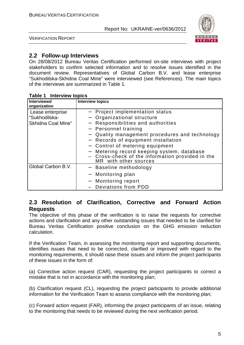



#### **2.2 Follow-up Interviews**

On 28/08/2012 Bureau Veritas Certification performed on-site interviews with project stakeholders to confirm selected information and to resolve issues identified in the document review. Representatives of Global Carbon B.V. and lease enterprise "Sukhodilska-Skhidna Coal Mine" were interviewed (see References). The main topics of the interviews are summarized in Table 1.

| <b>Interviewed</b><br>organization                      | <b>Interview topics</b>                                                                                                                                                                                                                                                                                                                                                      |
|---------------------------------------------------------|------------------------------------------------------------------------------------------------------------------------------------------------------------------------------------------------------------------------------------------------------------------------------------------------------------------------------------------------------------------------------|
| Lease enterprise<br>"Sukhodilska-<br>Skhidna Coal Mine" | - Project implementation status<br>Organizational structure<br>Responsibilities and authorities<br>- Personnel training<br>Quality management procedures and technology<br>- Records of equipment installation<br>- Control of metering equipment<br>- Metering record keeping system, database<br>- Cross-check of the information provided in the<br>MR with other sources |
| Global Carbon B.V.                                      | - Baseline methodology<br>- Monitoring plan<br>- Monitoring report<br>Deviations from PDD                                                                                                                                                                                                                                                                                    |

#### **Table 1 Interview topics**

#### **2.3 Resolution of Clarification, Corrective and Forward Action Requests**

The objective of this phase of the verification is to raise the requests for corrective actions and clarification and any other outstanding issues that needed to be clarified for Bureau Veritas Certification positive conclusion on the GHG emission reduction calculation.

If the Verification Team, in assessing the monitoring report and supporting documents, identifies issues that need to be corrected, clarified or improved with regard to the monitoring requirements, it should raise these issues and inform the project participants of these issues in the form of:

(a) Corrective action request (CAR), requesting the project participants to correct a mistake that is not in accordance with the monitoring plan;

(b) Clarification request (CL), requesting the project participants to provide additional information for the Verification Team to assess compliance with the monitoring plan;

(c) Forward action request (FAR), informing the project participants of an issue, relating to the monitoring that needs to be reviewed during the next verification period.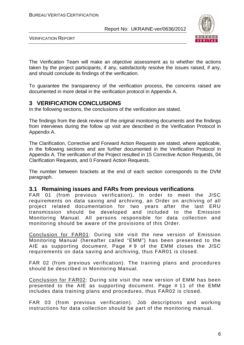

VERIFICATION REPORT

The Verification Team will make an objective assessment as to whether the actions taken by the project participants, if any, satisfactorily resolve the issues raised, if any, and should conclude its findings of the verification.

To guarantee the transparency of the verification process, the concerns raised are documented in more detail in the verification protocol in Appendix A.

#### **3 VERIFICATION CONCLUSIONS**

In the following sections, the conclusions of the verification are stated.

The findings from the desk review of the original monitoring documents and the findings from interviews during the follow up visit are described in the Verification Protocol in Appendix A.

The Clarification, Corrective and Forward Action Requests are stated, where applicable, in the following sections and are further documented in the Verification Protocol in Appendix A. The verification of the Project resulted in 15 Corrective Action Requests, 04 Clarification Requests, and 0 Forward Action Requests.

The number between brackets at the end of each section corresponds to the DVM paragraph.

#### **3.1 Remaining issues and FARs from previous verifications**

FAR 01 (from previous verification)**.** In order to meet the JISC requirements on data saving and archiving, an Order on archiving of all project related documentation for two years after the last ERU transmission should be developed and included to the Emission Monitoring Manual. All persons responsible for data collection and monitoring should be aware of the provisions of this Order.

Conclusion for FAR01: During site visit the new version of Emission Monitoring Manual (hereafter called "EMM") has been presented to the AIE as supporting document. Page # 9 of the EMM closes the JISC requirements on data saving and archiving, thus FAR01 is closed.

FAR 02 (from previous verification). The training plans and procedures should be described in Monitoring Manual.

Conclusion for FAR02: During site visit the new version of EMM has been presented to the AIE as supporting document. Page # 11 of the EMM includes data training plans and procedures, thus FAR02 is closed.

FAR 03 (from previous verification). Job descriptions and working instructions for data collection should be part of the monitoring manual.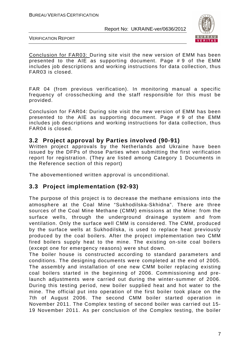

VERIFICATION REPORT

Conclusion for FAR03: During site visit the new version of EMM has been presented to the AIE as supporting document. Page # 9 of the EMM includes job descriptions and working instructions for data collection, thus FAR03 is closed.

FAR 04 (from previous verification). In monitoring manual a specific frequency of crosschecking and the staff responsible for this must be provided.

Conclusion for FAR04: During site visit the new version of EMM has been presented to the AIE as supporting document. Page # 9 of the EMM includes job descriptions and working instructions for data collection, thus FAR04 is closed.

#### **3.2 Project approval by Parties involved (90-91)**

Written project approvals by the Netherlands and Ukraine have been issued by the DFPs of those Parties when submitting the first verification report for registration. (They are listed among Category 1 Documents in the Reference section of this report)

The abovementioned written approval is unconditional.

#### **3.3 Project implementation (92-93)**

The purpose of this project is to decrease the methane emissions into the atmosphere at the Coal Mine "Sukhodilska-Skhidna". There are three sources of the Coal Mine Methane (CMM) emissions at the Mine: from the surface wells, through the underground drainage system and from ventilation. Only the surface well CMM is considered. The CMM, produced by the surface wells at Sukhodilska, is used to replace heat previously produced by the coal boilers. After the project implementation two CMM fired boilers supply heat to the mine. The existing on-site coal boilers (except one for emergency reasons) were shut down.

The boiler house is constructed according to standard parameters and conditions. The designing documents were completed at the end of 2005. The assembly and installation of one new CMM boiler replacing existing coal boilers started in the beginning of 2006. Commissioning and prelaunch adjustments were carried out during the winter-summer of 2006. During this testing period, new boiler supplied heat and hot water to the mine. The official put into operation of the first boiler took place on the 7th of August 2006. The second CMM boiler started operation in November 2011. The Complex testing of second boiler was carried out 15- 19 November 2011. As per conclusion of the Complex testing, the boiler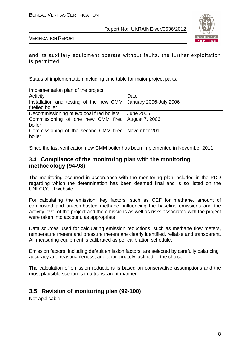

VERIFICATION REPORT

and its auxiliary equipment operate without faults, the further exploitation is permitted.

Status of implementation including time table for major project parts:

Implementation plan of the project

| Activity                                                         | Date      |
|------------------------------------------------------------------|-----------|
| Installation and testing of the new CMM   January 2006-July 2006 |           |
| fuelled boiler                                                   |           |
| Decommissioning of two coal fired boilers                        | June 2006 |
| Commissioning of one new CMM fired   August 7, 2006              |           |
| boiler                                                           |           |
| Commissioning of the second CMM fired   November 2011            |           |
| boiler                                                           |           |

Since the last verification new CMM boiler has been implemented in November 2011.

#### **3.4 Compliance of the monitoring plan with the monitoring methodology (94-98)**

The monitoring occurred in accordance with the monitoring plan included in the PDD regarding which the determination has been deemed final and is so listed on the UNFCCC JI website.

For calculating the emission, key factors, such as CEF for methane, amount of combusted and un-combusted methane, influencing the baseline emissions and the activity level of the project and the emissions as well as risks associated with the project were taken into account, as appropriate.

Data sources used for calculating emission reductions, such as methane flow meters, temperature meters and pressure meters are clearly identified, reliable and transparent. All measuring equipment is calibrated as per calibration schedule.

Emission factors, including default emission factors, are selected by carefully balancing accuracy and reasonableness, and appropriately justified of the choice.

The calculation of emission reductions is based on conservative assumptions and the most plausible scenarios in a transparent manner.

#### **3.5 Revision of monitoring plan (99-100)**

Not applicable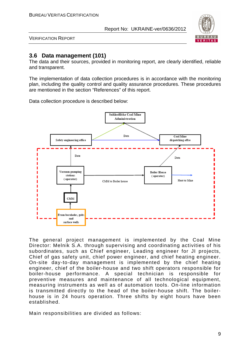

VERIFICATION REPORT

#### **3.6 Data management (101)**

The data and their sources, provided in monitoring report, are clearly identified, reliable and transparent.

The implementation of data collection procedures is in accordance with the monitoring plan, including the quality control and quality assurance procedures. These procedures are mentioned in the section "References" of this report.

Data collection procedure is described below:



The general project management is implemented by the Coal Mine Director: Melnik S.A. through supervising and coordinating activities of his subordinates, such as Chief engineer, Leading engineer for JI projects, Chief of gas safety unit, chief power engineer, and chief heating engineer. On-site day-to-day management is implemented by the chief heating engineer, chief of the boiler-house and two shift operators responsible for boiler-house performance. A special technician is responsible for preventive measures and maintenance of all technological equipment, measuring instruments as well as of automation tools. On-line information is transmitted directly to the head of the boiler-house shift. The boilerhouse is in 24 hours operation. Three shifts by eight hours have been established.

Main responsibilities are divided as follows: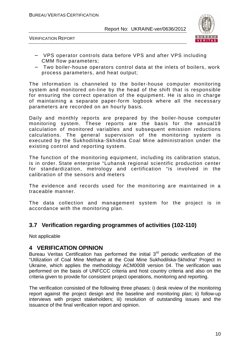

VERIFICATION REPORT



- − VPS operator controls data before VPS and after VPS including CMM flow parameters;
- − Two boiler-house operators control data at the inlets of boilers, work process parameters, and heat output;

The information is channeled to the boiler-house computer monitoring system and monitored on-line by the head of the shift that is responsible for ensuring the correct operation of the equipment. He is also in charge of maintaining a separate paper-form logbook where all the necessary parameters are recorded on an hourly basis.

Daily and monthly reports are prepared by the boiler-house computer monitoring system. These reports are the basis for the annual19 calculation of monitored variables and subsequent emission reductions calculations. The general supervision of the monitoring system is executed by the Sukhodilska-Skhidna Coal Mine administration under the existing control and reporting system.

The function of the monitoring equipment, including its calibration status, is in order. State enterprise "Luhansk regional scientific production center for standardization, metrology and certification "is involved in the calibration of the sensors and meters

The evidence and records used for the monitoring are maintained in a traceable manner.

The data collection and management system for the project is in accordance with the monitoring plan.

#### **3.7 Verification regarding programmes of activities (102-110)**

Not applicable

#### **4 VERIFICATION OPINION**

Bureau Veritas Certification has performed the initial  $3<sup>rd</sup>$  periodic verification of the "Utilization of Coal Mine Methane at the Coal Mine Sukhodilska-Skhidna" Project in Ukraine, which applies the methodology ACM0008 version 04. The verification was performed on the basis of UNFCCC criteria and host country criteria and also on the criteria given to provide for consistent project operations, monitoring and reporting.

The verification consisted of the following three phases: i) desk review of the monitoring report against the project design and the baseline and monitoring plan; ii) follow-up interviews with project stakeholders; iii) resolution of outstanding issues and the issuance of the final verification report and opinion.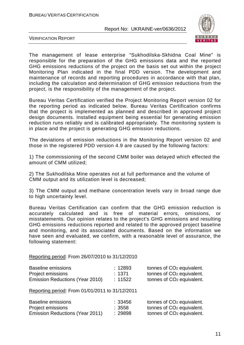

VERIFICATION REPORT

The management of lease enterprise "Sukhodilska-Skhidna Coal Mine" is responsible for the preparation of the GHG emissions data and the reported GHG emissions reductions of the project on the basis set out within the project Monitoring Plan indicated in the final PDD version. The development and maintenance of records and reporting procedures in accordance with that plan, including the calculation and determination of GHG emission reductions from the project, is the responsibility of the management of the project.

Bureau Veritas Certification verified the Project Monitoring Report version 02 for the reporting period as indicated below. Bureau Veritas Certification confirms that the project is implemented as planned and described in approved project design documents. Installed equipment being essential for generating emission reduction runs reliably and is calibrated appropriately. The monitoring system is in place and the project is generating GHG emission reductions.

The deviations of emission reductions in the Monitoring Report version 02 and those in the registered PDD version 4.9 are caused by the following factors:

1) The commissioning of the second CMM boiler was delayed which effected the amount of CMM utilized;

2) The Sukhodilska Mine operates not at full performance and the volume of CMM output and its utilization level is decreased;

3) The CMM output and methane concentration levels vary in broad range due to high uncertainty level.

Bureau Veritas Certification can confirm that the GHG emission reduction is accurately calculated and is free of material errors, omissions, or misstatements. Our opinion relates to the project's GHG emissions and resulting GHG emissions reductions reported and related to the approved project baseline and monitoring, and its associated documents. Based on the information we have seen and evaluated, we confirm, with a reasonable level of assurance, the following statement:

Reporting period: From 26/07/2010 to 31/12/2010

| <b>Baseline emissions</b>                       | : 12893 | tonnes of CO <sub>2</sub> equivalent. |
|-------------------------------------------------|---------|---------------------------------------|
| Project emissions                               | : 1371  | tonnes of CO <sub>2</sub> equivalent. |
| Emission Reductions (Year 2010)                 | : 11522 | tonnes of CO <sub>2</sub> equivalent. |
| Reporting period: From 01/01/2011 to 31/12/2011 |         |                                       |
| <b>Baseline emissions</b>                       | : 33456 | tonnes of CO <sub>2</sub> equivalent. |
| Project emissions                               | : 3558  | tonnes of CO <sub>2</sub> equivalent. |
| Emission Reductions (Year 2011)                 | : 29898 | tonnes of CO <sub>2</sub> equivalent. |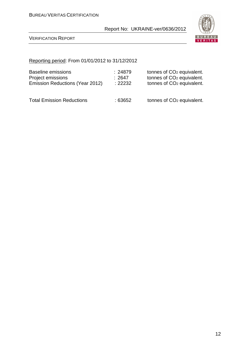

VERIFICATION REPORT

#### Reporting period: From 01/01/2012 to 31/12/2012

| Baseline emissions               | : 24879 | tonnes of CO <sub>2</sub> equivalent. |
|----------------------------------|---------|---------------------------------------|
| Project emissions                | :2647   | tonnes of CO <sub>2</sub> equivalent. |
| Emission Reductions (Year 2012)  | : 22232 | tonnes of CO <sub>2</sub> equivalent. |
| <b>Total Emission Reductions</b> | : 63652 | tonnes of CO <sub>2</sub> equivalent. |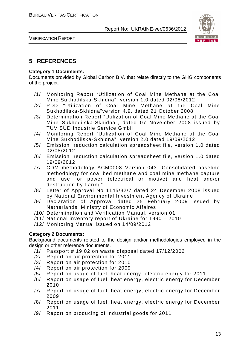

VERIFICATION REPORT

#### **5 REFERENCES**

#### **Category 1 Documents:**

Documents provided by Global Carbon B.V. that relate directly to the GHG components of the project.

- /1/ Monitoring Report "Utilization of Coal Mine Methane at the Coal Mine Sukhodilska-Skhidna", version 1.0 dated 02/08/2012
- /2/ PDD "Utilization of Coal Mine Methane at the Coal Mine Sukhodilska-Skhidna"version 4.9, dated 21 October 2008
- /3/ Determination Report "Utilization of Coal Mine Methane at the Coal Mine Sukhodilska-Skhidna", dated 07 November 2008 issued by TÜV SÜD Industrie Service GmbH
- /4/ Monitoring Report "Utilization of Coal Mine Methane at the Coal Mine Sukhodilska-Skhidna", version 2.0 dated 19/09/2012
- /5/ Emission reduction calculation spreadsheet file, version 1.0 dated 02/08/2012
- /6/ Emission reduction calculation spreadsheet file, version 1.0 dated 19/09/2012
- /7/ CDM methodology ACM0008 Version 043 "Consolidated baseline methodology for coal bed methane and coal mine methane capture and use for power (electrical or motive) and heat and/or destruction by flaring"
- /8/ Letter of Approval No 1145/32/7 dated 24 December 2008 issued by National Environmental Investment Agency of Ukraine
- /9/ Declaration of Approval dated 25 February 2009 issued by Netherlands' Ministry of Economic Affaires
- /10/ Determination and Verification Manual, version 01
- /11/ National inventory report of Ukraine for 1990 2010
- /12/ Monitoring Manual issued on 14/09/2012

#### **Category 2 Documents:**

Background documents related to the design and/or methodologies employed in the design or other reference documents.

- /1/ Passport # 19.02 on waste disposal dated 17/12/2002
- /2/ Report on air protection for 2011
- /3/ Report on air protection for 2010
- /4/ Report on air protection for 2009
- /5/ Report on usage of fuel, heat energy, electric energy for 2011
- /6/ Report on usage of fuel, heat energy, electric energy for December 2010
- /7/ Report on usage of fuel, heat energy, electric energy for December 2009
- /8/ Report on usage of fuel, heat energy, electric energy for December 2011
- /9/ Report on producing of industrial goods for 2011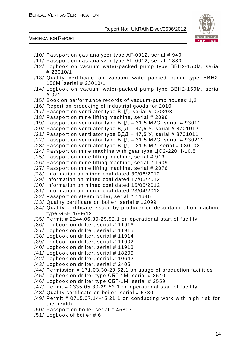



- /10/ Passport on gas analyzer type АГ-0012, serial # 940
- /11/ Passport on gas analyzer type АГ-0012, serial # 880
- /12/ Logbook on vacuum water-packed pump type ВВН2-150М, serial # 23010/1
- /13/ Quality certificate on vacuum water-packed pump type ВВН2- 150М, serial # 23010/1
- /14/ Logbook on vacuum water-packed pump type ВВН2-150М, serial # 071
- /15/ Book on performance records of vacuum-pump house# 1,2
- /16/ Report on producing of industrial goods for 2010
- /17/ Passport on ventilator type ВЦД, serial # 030203
- /18/ Passport on mine lifting machine, serial # 2096
- /19/ Passport on ventilator type ВЦД 31.5 М2С, serial # 93011
- /20/ Passport on ventilator type  $B\overline{A}A 47,5$  Y, serial # 8701012
- /21/ Passport on ventilator type ВДД 47,5 У, serial # 8701011
- /22/ Passport on ventilator type ВЦД 31.5 М2С, serial # 930211
- $/23/$  Passport on ventilator type ВЦД 31.5 M2, serial # 030102
- /24/ Passport on mine machine with gear type ЦО2-220, і-10,5
- /25/ Passport on mine lifting machine, serial # 913
- /26/ Passport on mine lifting machine, serial # 1609
- /27/ Passport on mine lifting machine, serial # 2076
- /28/ Information on mined coal dated 30/06/2012
- /29/ Information on mined coal dated 17/06/2012
- /30/ Information on mined coal dated 15/05/2012
- /31/ Information on mined coal dated 23/04/2012
- /32/ Passport on steam boiler, serial # 44646
- /33/ Quality certificate on boiler, serial # 12099
- /34/ Quality certificate issued by producer on decontamination machine type GBH 1/89/12
- /35/ Permit # 2244.06.30-29.52.1 on operational start of facility
- /36/ Logbook on drifter, serial # 11916
- /37/ Logbook on drifter, serial # 11915
- /38/ Logbook on drifter, serial # 11914
- /39/ Logbook on drifter, serial # 11902
- /40/ Logbook on drifter, serial # 11913
- /41/ Logbook on drifter, serial # 18205
- /42/ Logbook on drifter, serial # 10642
- /43/ Logbook on drifter, serial # 2405
- /44/ Permission # 171.03.30-29.52.1 on usage of production facilities
- /45/ Logbook on drifter type СБГ-1М, serial # 2540
- /46/ Logbook on drifter type СБГ-1М, serial # 2559
- /47/ Permit # 2335.05.30-29.52.1 on operational start of facility
- /48/ Quality certificate on boiler, serial # 5730
- /49/ Permit # 0715.07.14-45.21.1 on conducting work with high risk for the health
- /50/ Passport on boiler serial # 45807
- /51/ Logbook of boiler # 6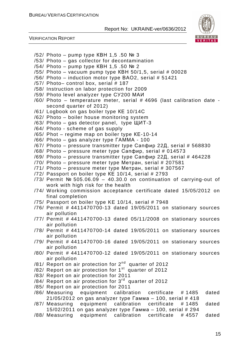

VERIFICATION REPORT

/52/ Photo – pump type КВН 1,5 .50 № 3 /53/ Photo – gas collector for decontamination /54/ Photo – pump type КВН 1,5 .50 № 2  $/55/$  Photo – vacuum pump type KBH 50/1,5, serial # 00028 /56/ Photo – induction motor type ВАО2, serial # 51421 /57/ Photo– control box, serial # 187 /58/ Instruction on labor protection for 2009 /59/ Photo level analyzer type СУ200 МАИ /60/ Photo – temperature meter, serial # 4696 (last calibration date second quarter of 2012) /61/ Logbook on gas boiler type КЕ 10/14С /62/ Photo – boiler house monitoring system /63/ Photo – gas detector panel, type ЩИТ-3 /64/ Photo - scheme of gas supply /65/ Phot – regime map on boiler type КЕ-10-14 /66/ Photo – gas analyzer type ГАММА - 100 /67/ Photo – pressure transmitter type Сапфир 22Д, serial # 568830  $/68/$  Photo – pressure meter type Сапфир, serial # 014573 /69/ Photo – pressure transmitter type Сапфир 22Д, serial # 464228 /70/ Photo – pressure meter type Метран, serial # 207581  $/71/$  Photo – pressure meter type Merpah, serial # 307567 /72/ Passport on boiler type КЕ 10/14, serial # 2793 /73/ Permit № 505.06.09 – 40.30.0 on continuation of carrying-out of work with high risk for the health /74/ Working commission acceptance certificate dated 15/05/2012 on final completion /75/ Passport on boiler type KE 10/14, serial # 7948 /76/ Permit # 4411470700-13 dated 19/05/2011 on stationary sources air pollution /77/ Permit # 4411470700-13 dated 05/11/2008 on stationary sources air pollution /78/ Permit # 4411470700-14 dated 19/05/2011 on stationary sources air pollution /79/ Permit # 4411470700-16 dated 19/05/2011 on stationary sources air pollution /80/ Permit # 4411470700-12 dated 19/05/2011 on stationary sources air pollution /81/ Report on air protection for 2nd quarter of 2012 /82/ Report on air protection for  $1<sup>st</sup>$  quarter of 2012 /83/ Report on air protection for 2011 /84/ Report on air protection for 3rd quarter of 2012 /85/ Report on air protection for 2011 /86/ Measuring equipment calibration certificate # 1485 dated  $21/05/2012$  on gas analyzer type  $\sqrt{24/100}$ , serial # 418 /87/ Measuring equipment calibration certificate # 1485 dated 15/02/2011 on gas analyzer type Гамма – 100, serial # 294 /88/ Measuring equipment calibration certificate # 4557 dated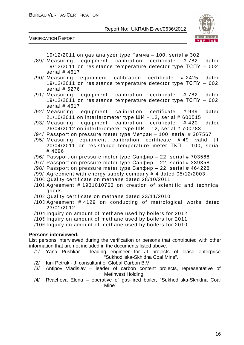

VERIFICATION REPORT

19/12/2011 on gas analyzer type Гамма – 100, serial # 302

- /89/ Measuring equipment calibration certificate # 782 dated 19/12/2011 on resistance temperature detector type ТСПУ – 002, serial # 4617
- /90/ Measuring equipment calibration certificate # 2425 dated 19/12/2011 on resistance temperature detector type ТСПУ – 002, serial # 5276
- /91/ Measuring equipment calibration certificate # 782 dated 19/12/2011 on resistance temperature detector type ТСПУ – 002, serial # 4617
- /92/ Measuring equipment calibration certificate # 939 dated  $21/10/2011$  on interferometer type ШИ - 12, serial # 600515
- /93/ Measuring equipment calibration certificate # 420 dated  $26/04/2012$  on interferometer type ШИ - 12, serial # 700783
- /94/ Passport on pressure meter type Метран 100, serial # 307567
- /95/ Measuring equipment calibration certificate # 49 valid till 20/04/2011 on resistance temperature meter ТКП – 100, serial # 4696
- /96/ Passport on pressure meter type Сапфир 22, serial # 703568
- /97/ Passport on pressure meter type  $Canqmp 22$ , serial # 339358
- /98/ Passport on pressure meter type Сапфир 22, serial # 464228
- /99/ Agreement with energy supply company # 4 dated 05/12/2003
- /100/Quality certificate on methane dated 28/10/2011
- $/101$  Agreement # 1931010763 on creation of scientific and technical goods
- /102/Quality certificate on methane dated 23/11/2010
- $/103$  Agreement  $#$  4129 on conducting of metrological works dated 23/01/2012
- /104 Inquiry on amount of methane used by boilers for 2012
- /105 Inquiry on amount of methane used by boilers for 2011
- /106 Inquiry on amount of methane used by boilers for 2010

#### **Persons interviewed:**

List persons interviewed during the verification or persons that contributed with other information that are not included in the documents listed above.

- /1/ Yana Pushkar leading engineer for JI projects of lease enterprise "Sukhodilska-Skhidna Coal Mine".
- /2/ Iurii Petruk JI consultant of Global Carbon B.V.
- /3/ Antipov Vladislav leader of carbon content projects, representative of Metinvest Holding
- /4/ Rvacheva Elena operative of gas-fired boiler, "Sukhodilska-Skhidna Coal Mine"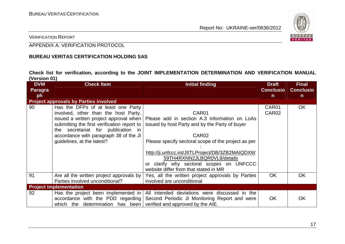

VERIFICATION REPORT

APPENDIX A: VERIFICATION PROTOCOL

#### **BUREAU VERITAS CERTIFICATION HOLDING SAS**

**Check list for verification, according to the JOINT IMPLEMENTATION DETERMINATION AND VERIFICATION MANUAL (Version 01)** 

| <b>DVM</b>     | <b>Check Item</b>                            | <b>Initial finding</b>                                                                    | <b>Draft</b>      | <b>Final</b>     |
|----------------|----------------------------------------------|-------------------------------------------------------------------------------------------|-------------------|------------------|
| <b>Paragra</b> |                                              |                                                                                           | <b>Conclusio</b>  | <b>Conclusio</b> |
| ph             |                                              |                                                                                           | $\mathsf{n}$      | $\mathsf{n}$     |
|                | <b>Project approvals by Parties involved</b> |                                                                                           |                   |                  |
| 90             | Has the DFPs of at least one Party           |                                                                                           | CAR01             | OK               |
|                | involved, other than the host Party,         | CAR01                                                                                     | CAR <sub>02</sub> |                  |
|                | issued a written project approval when       | Please add in section A.3 information on LoAs                                             |                   |                  |
|                | submitting the first verification report to  | issued by host Party and by the Party of buyer                                            |                   |                  |
|                | the secretariat for publication in           |                                                                                           |                   |                  |
|                | accordance with paragraph 38 of the JI       | CAR <sub>02</sub>                                                                         |                   |                  |
|                | guidelines, at the latest?                   | Please specify sectoral scope of the project as per                                       |                   |                  |
|                |                                              |                                                                                           |                   |                  |
|                |                                              | http://ji.unfccc.int/JIITLProject/DB/3ZB2MAIQDXW                                          |                   |                  |
|                |                                              | 59TH4RXNN2JLBQR0VL8/details                                                               |                   |                  |
|                |                                              | or clarify why sectoral scopes on UNFCCC                                                  |                   |                  |
|                |                                              | website differ from that stated in MR                                                     |                   |                  |
| 91             | Are all the written project approvals by     | Yes, all the written project approvals by Parties                                         | <b>OK</b>         | <b>OK</b>        |
|                | Parties involved unconditional?              | involved are unconditional                                                                |                   |                  |
|                | <b>Project implementation</b>                |                                                                                           |                   |                  |
|                |                                              |                                                                                           |                   |                  |
| 92             |                                              | Has the project been implemented in $\vert$ All intended deviations were discussed in the |                   |                  |
|                | accordance with the PDD regarding            | Second Periodic JI Monitoring Report and were                                             | <b>OK</b>         | OK               |
|                | which the determination has been             | verified and approved by the AIE.                                                         |                   |                  |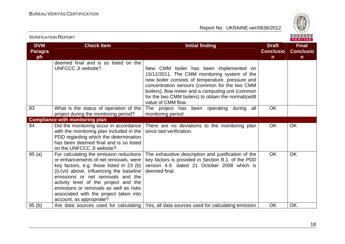

|                                    |                                                                                                                                                                                                                                                                                                                                                                         |                                                                                                                                                                                                                                                                                                                              |                                                  | VERIIAS <sub>I</sub>                             |
|------------------------------------|-------------------------------------------------------------------------------------------------------------------------------------------------------------------------------------------------------------------------------------------------------------------------------------------------------------------------------------------------------------------------|------------------------------------------------------------------------------------------------------------------------------------------------------------------------------------------------------------------------------------------------------------------------------------------------------------------------------|--------------------------------------------------|--------------------------------------------------|
| <b>DVM</b><br><b>Paragra</b><br>ph | <b>Check Item</b>                                                                                                                                                                                                                                                                                                                                                       | <b>Initial finding</b>                                                                                                                                                                                                                                                                                                       | <b>Draft</b><br><b>Conclusio</b><br>$\mathsf{n}$ | <b>Final</b><br><b>Conclusio</b><br>$\mathsf{n}$ |
|                                    | deemed final and is so listed on the<br><b>UNFCCC JI website?</b>                                                                                                                                                                                                                                                                                                       | New CMM boiler has been implemented on<br>15/11/2011. The CMM monitoring system of the<br>new boiler consists of temperature, pressure and<br>concentration sensors (common for the two CMM<br>boilers), flow meter and a computing unit (common<br>for the two CMM boilers) to obtain the normalized8<br>value of CMM flow. |                                                  |                                                  |
| 93                                 | What is the status of operation of the<br>project during the monitoring period?                                                                                                                                                                                                                                                                                         | The project has been operating during all<br>monitoring period                                                                                                                                                                                                                                                               | <b>OK</b>                                        |                                                  |
|                                    | <b>Compliance with monitoring plan</b>                                                                                                                                                                                                                                                                                                                                  |                                                                                                                                                                                                                                                                                                                              |                                                  |                                                  |
| 94                                 | Did the monitoring occur in accordance<br>with the monitoring plan included in the<br>PDD regarding which the determination<br>has been deemed final and is so listed<br>on the UNFCCC JI website?                                                                                                                                                                      | There are no deviations to the monitoring plan<br>since last verification.                                                                                                                                                                                                                                                   | <b>OK</b>                                        | <b>OK</b>                                        |
| 95(a)                              | For calculating the emission reductions<br>or enhancements of net removals, were<br>key factors, e.g. those listed in 23 (b)<br>(i)-(vii) above, influencing the baseline<br>emissions or net removals and the<br>activity level of the project and the<br>emissions or removals as well as risks<br>associated with the project taken into<br>account, as appropriate? | The exhaustive description and justification of the<br>key factors is provided in Section B.1. of the PDD<br>version 4.9. dated 21 October 2008 which is<br>deemed final.                                                                                                                                                    | OK                                               | <b>OK</b>                                        |
| 95(b)                              |                                                                                                                                                                                                                                                                                                                                                                         | Are data sources used for calculating   Yes, all data sources used for calculating emission                                                                                                                                                                                                                                  | <b>OK</b>                                        | OK                                               |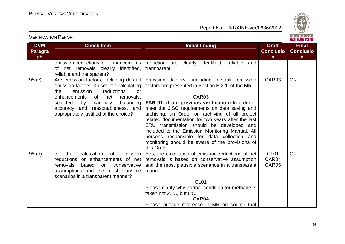

| <b>DVM</b><br><b>Paragra</b><br>ph | <b>Check Item</b>                                                                                                                                                                                                                                                                                 | <b>Initial finding</b>                                                                                                                                                                                                                                                                                                                                                                                                                                                                                                                                | <b>Draft</b><br><b>Conclusio</b><br>$\mathsf{n}$ | <b>Final</b><br><b>Conclusio</b><br>n |
|------------------------------------|---------------------------------------------------------------------------------------------------------------------------------------------------------------------------------------------------------------------------------------------------------------------------------------------------|-------------------------------------------------------------------------------------------------------------------------------------------------------------------------------------------------------------------------------------------------------------------------------------------------------------------------------------------------------------------------------------------------------------------------------------------------------------------------------------------------------------------------------------------------------|--------------------------------------------------|---------------------------------------|
|                                    | emission reductions or enhancements<br>of net removals clearly identified,<br>reliable and transparent?                                                                                                                                                                                           | reduction are clearly identified, reliable and<br>transparent.                                                                                                                                                                                                                                                                                                                                                                                                                                                                                        |                                                  |                                       |
| 95 (c)                             | Are emission factors, including default<br>emission factors, if used for calculating<br>reductions<br>the<br>emission<br>or<br>of l<br>enhancements<br>net<br>removals,<br>selected<br>by<br>carefully<br>balancing<br>accuracy and reasonableness, and<br>appropriately justified of the choice? | Emission factors, including default emission<br>factors are presented in Section B.2.1. of the MR.<br>CAR <sub>03</sub><br>FAR 01. (from previous verification) In order to<br>meet the JISC requirements on data saving and<br>archiving, an Order on archiving of all project<br>related documentation for two years after the last<br>ERU transmission should be developed and<br>included to the Emission Monitoring Manual. All<br>persons responsible for data collection and<br>monitoring should be aware of the provisions of<br>this Order. | CAR03                                            | OK                                    |
| 95 (d)                             | calculation<br>the<br>of<br>emission<br>ls.<br>reductions or enhancements of net<br>removals<br>based<br>conservative<br>on<br>assumptions and the most plausible<br>scenarios in a transparent manner?                                                                                           | Yes, the calculation of emission reductions of net<br>removals is based on conservative assumption<br>and the most plausible scenarios in a transparent<br>manner.<br>CL <sub>01</sub><br>Please clarify why normal condition for methane is<br>taken not 20°C, but 0°C.<br>CAR <sub>04</sub><br>Please provide reference in MR on source that                                                                                                                                                                                                        | CL <sub>01</sub><br>CAR04<br>CAR05               | <b>OK</b>                             |

VERIFICATION REPORT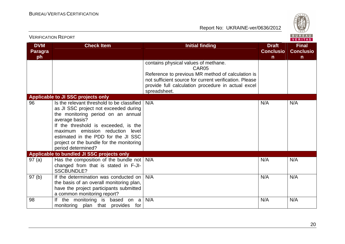

|                                    | <b>VERIFICATION REPORT</b>                                                                                                                                                                                                                                                                                                       |                                                                                                                                                                                                                                                |                                                  | B U R E A U  <br><b>VERITAS</b>                  |
|------------------------------------|----------------------------------------------------------------------------------------------------------------------------------------------------------------------------------------------------------------------------------------------------------------------------------------------------------------------------------|------------------------------------------------------------------------------------------------------------------------------------------------------------------------------------------------------------------------------------------------|--------------------------------------------------|--------------------------------------------------|
| <b>DVM</b><br><b>Paragra</b><br>ph | <b>Check Item</b>                                                                                                                                                                                                                                                                                                                | <b>Initial finding</b>                                                                                                                                                                                                                         | <b>Draft</b><br><b>Conclusio</b><br>$\mathsf{n}$ | <b>Final</b><br><b>Conclusio</b><br>$\mathsf{n}$ |
|                                    |                                                                                                                                                                                                                                                                                                                                  | contains physical values of methane.<br>CAR <sub>05</sub><br>Reference to previous MR method of calculation is<br>not sufficient source for current verification. Please<br>provide full calculation procedure in actual excel<br>spreadsheet. |                                                  |                                                  |
|                                    | Applicable to JI SSC projects only                                                                                                                                                                                                                                                                                               |                                                                                                                                                                                                                                                |                                                  |                                                  |
| 96                                 | Is the relevant threshold to be classified<br>as JI SSC project not exceeded during<br>the monitoring period on an annual<br>average basis?<br>If the threshold is exceeded, is the<br>maximum emission reduction level<br>estimated in the PDD for the JI SSC<br>project or the bundle for the monitoring<br>period determined? | N/A                                                                                                                                                                                                                                            | N/A                                              | N/A                                              |
|                                    | Applicable to bundled JI SSC projects only                                                                                                                                                                                                                                                                                       |                                                                                                                                                                                                                                                |                                                  |                                                  |
| 97(a)                              | Has the composition of the bundle not $\vert$ N/A<br>changed from that is stated in F-JI-<br><b>SSCBUNDLE?</b>                                                                                                                                                                                                                   |                                                                                                                                                                                                                                                | N/A                                              | N/A                                              |
| 97 <sub>(b)</sub>                  | If the determination was conducted on<br>the basis of an overall monitoring plan,<br>have the project participants submitted<br>a common monitoring report?                                                                                                                                                                      | N/A                                                                                                                                                                                                                                            | N/A                                              | N/A                                              |
| 98                                 | If the monitoring is based on a<br>monitoring plan that provides for                                                                                                                                                                                                                                                             | N/A                                                                                                                                                                                                                                            | N/A                                              | N/A                                              |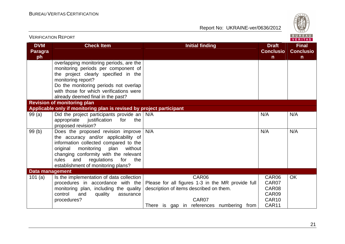

| <b>VERIFICATION REPORT</b>         |                                                                                                                                                                                                                                                                                              |                                                                                                                                                             |                                                    | BUREAU<br><b>VERITAS</b>                         |
|------------------------------------|----------------------------------------------------------------------------------------------------------------------------------------------------------------------------------------------------------------------------------------------------------------------------------------------|-------------------------------------------------------------------------------------------------------------------------------------------------------------|----------------------------------------------------|--------------------------------------------------|
| <b>DVM</b><br><b>Paragra</b><br>ph | <b>Check Item</b>                                                                                                                                                                                                                                                                            | <b>Initial finding</b>                                                                                                                                      | <b>Draft</b><br><b>Conclusio</b><br>$\mathsf{n}$   | <b>Final</b><br><b>Conclusio</b><br>$\mathsf{n}$ |
|                                    | overlapping monitoring periods, are the<br>monitoring periods per component of<br>the project clearly specified in the<br>monitoring report?<br>Do the monitoring periods not overlap<br>with those for which verifications were<br>already deemed final in the past?                        |                                                                                                                                                             |                                                    |                                                  |
|                                    | <b>Revision of monitoring plan</b>                                                                                                                                                                                                                                                           |                                                                                                                                                             |                                                    |                                                  |
|                                    | Applicable only if monitoring plan is revised by project participant                                                                                                                                                                                                                         |                                                                                                                                                             |                                                    |                                                  |
| 99(a)                              | Did the project participants provide an $N/A$<br>appropriate<br>justification<br>for<br>the<br>proposed revision?                                                                                                                                                                            |                                                                                                                                                             | N/A                                                | N/A                                              |
| 99(b)                              | Does the proposed revision improve<br>the accuracy and/or applicability of<br>information collected compared to the<br>original<br>monitoring<br>plan<br>without<br>changing conformity with the relevant<br>regulations<br>for<br>rules<br>and<br>the<br>establishment of monitoring plans? | N/A                                                                                                                                                         | N/A                                                | N/A                                              |
| <b>Data management</b>             |                                                                                                                                                                                                                                                                                              |                                                                                                                                                             |                                                    |                                                  |
| 101 $(a)$                          | Is the implementation of data collection<br>procedures in accordance with the<br>monitoring plan, including the quality<br>control<br>quality<br>and<br>assurance<br>procedures?                                                                                                             | CAR06<br>Please for all figures 1-3 in the MR provide full<br>description of items described on them.<br>CAR07<br>There is gap in references numbering from | CAR06<br>CAR07<br>CAR08<br>CAR09<br>CAR10<br>CAR11 | <b>OK</b>                                        |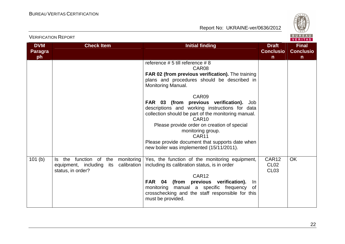

|                                    |                                                                                                     |                                                                                                                                                                                                                                                                                                                                                                                                                                                                                                                                                      |                                                  | VERITAS                                          |
|------------------------------------|-----------------------------------------------------------------------------------------------------|------------------------------------------------------------------------------------------------------------------------------------------------------------------------------------------------------------------------------------------------------------------------------------------------------------------------------------------------------------------------------------------------------------------------------------------------------------------------------------------------------------------------------------------------------|--------------------------------------------------|--------------------------------------------------|
| <b>DVM</b><br><b>Paragra</b><br>ph | <b>Check Item</b>                                                                                   | <b>Initial finding</b>                                                                                                                                                                                                                                                                                                                                                                                                                                                                                                                               | <b>Draft</b><br><b>Conclusio</b><br>$\mathsf{n}$ | <b>Final</b><br><b>Conclusio</b><br>$\mathsf{n}$ |
|                                    |                                                                                                     | reference # 5 till reference # 8<br>CAR08<br>FAR 02 (from previous verification). The training<br>plans and procedures should be described in<br>Monitoring Manual.<br>CAR09<br>previous verification).<br>FAR 03 (from<br>Job<br>descriptions and working instructions for data<br>collection should be part of the monitoring manual.<br>CAR <sub>10</sub><br>Please provide order on creation of special<br>monitoring group.<br>CAR <sub>11</sub><br>Please provide document that supports date when<br>new boiler was implemented (15/11/2011). |                                                  |                                                  |
| 101(b)                             | the function of the monitoring<br>ls l<br>equipment, including its calibration<br>status, in order? | Yes, the function of the monitoring equipment,<br>including its calibration status, is in order<br>CAR <sub>12</sub><br><b>FAR 04</b><br>(from<br>previous verification).<br>In<br>manual a specific frequency<br>monitoring<br>0f<br>crosschecking and the staff responsible for this<br>must be provided.                                                                                                                                                                                                                                          | CAR12<br><b>CL02</b><br><b>CL03</b>              | <b>OK</b>                                        |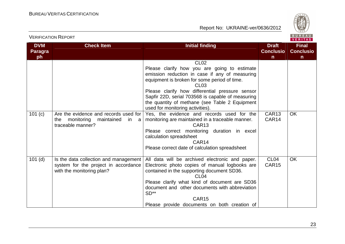

| <b>VERIFIUATIUN INEPURT</b><br>VERITAS |                                                                                                            |                                                                                                                                                                                                                                                                                                                                                                                 |                                                  |                                                  |  |
|----------------------------------------|------------------------------------------------------------------------------------------------------------|---------------------------------------------------------------------------------------------------------------------------------------------------------------------------------------------------------------------------------------------------------------------------------------------------------------------------------------------------------------------------------|--------------------------------------------------|--------------------------------------------------|--|
| <b>DVM</b><br>Paragra<br>ph            | <b>Check Item</b>                                                                                          | <b>Initial finding</b>                                                                                                                                                                                                                                                                                                                                                          | <b>Draft</b><br><b>Conclusio</b><br>$\mathsf{n}$ | <b>Final</b><br><b>Conclusio</b><br>$\mathsf{n}$ |  |
|                                        |                                                                                                            | <b>CL02</b><br>Please clarify how you are going to estimate<br>emission reduction in case if any of measuring<br>equipment is broken for some period of time.<br>CL <sub>03</sub><br>Please clarify how differential pressure sensor<br>Sapfir 22D, serial 703568 is capable of measuring<br>the quantity of methane (see Table 2 Equipment<br>used for monitoring activities). |                                                  |                                                  |  |
| 101 $(c)$                              | Are the evidence and records used for<br>monitoring<br>maintained<br>the<br>in<br>a<br>traceable manner?   | Yes, the evidence and records used for the<br>monitoring are maintained in a traceable manner.<br>CAR <sub>13</sub><br>Please correct monitoring duration in excel<br>calculation spreadsheet<br>CAR <sub>14</sub><br>Please correct date of calculation spreadsheet                                                                                                            | CAR <sub>13</sub><br>CAR14                       | <b>OK</b>                                        |  |
| $101$ (d)                              | Is the data collection and management<br>system for the project in accordance<br>with the monitoring plan? | All data will be archived electronic and paper.<br>Electronic photo copies of manual logbooks are<br>contained in the supporting document SD36.<br>CL <sub>04</sub><br>Please clarify what kind of document are SD36<br>document and other documents with abbreviation<br>$SD**$<br>CAR <sub>15</sub><br>Please provide documents on both creation of                           | CL <sub>04</sub><br>CAR <sub>15</sub>            | <b>OK</b>                                        |  |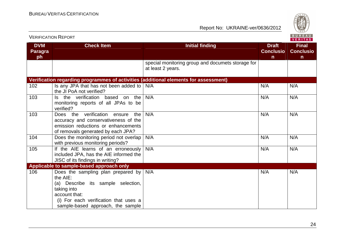

| <b>VERIFICATION REPORT</b>         |                                                                                                                                                                                                    |                                                                        |                                                  |                                                  |
|------------------------------------|----------------------------------------------------------------------------------------------------------------------------------------------------------------------------------------------------|------------------------------------------------------------------------|--------------------------------------------------|--------------------------------------------------|
| <b>DVM</b><br><b>Paragra</b><br>ph | <b>Check Item</b>                                                                                                                                                                                  | <b>Initial finding</b>                                                 | <b>Draft</b><br><b>Conclusio</b><br>$\mathsf{n}$ | <b>Final</b><br><b>Conclusio</b><br>$\mathsf{n}$ |
|                                    |                                                                                                                                                                                                    | special monitoring group and documets storage for<br>at least 2 years. |                                                  |                                                  |
|                                    | Verification regarding programmes of activities (additional elements for assessment)                                                                                                               |                                                                        |                                                  |                                                  |
| 102                                | Is any JPA that has not been added to  <br>the JI PoA not verified?                                                                                                                                | N/A                                                                    | N/A                                              | N/A                                              |
| 103                                | Is the verification based on the<br>monitoring reports of all JPAs to be<br>verified?                                                                                                              | N/A                                                                    | N/A                                              | N/A                                              |
| 103                                | verification<br>Does the<br>ensure<br>the<br>accuracy and conservativeness of the<br>emission reductions or enhancements<br>of removals generated by each JPA?                                     | N/A                                                                    | N/A                                              | N/A                                              |
| 104                                | Does the monitoring period not overlap<br>with previous monitoring periods?                                                                                                                        | N/A                                                                    | N/A                                              | N/A                                              |
| 105                                | If the AIE learns of an erroneously<br>included JPA, has the AIE informed the<br>JISC of its findings in writing?                                                                                  | N/A                                                                    | N/A                                              | N/A                                              |
|                                    | Applicable to sample-based approach only                                                                                                                                                           |                                                                        |                                                  |                                                  |
| 106                                | Does the sampling plan prepared by<br>the AIE:<br>(a) Describe its sample selection,<br>taking into<br>account that:<br>(i) For each verification that uses a<br>sample-based approach, the sample | N/A                                                                    | N/A                                              | N/A                                              |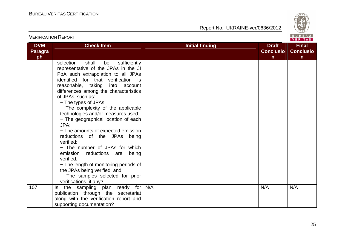

| <b>VERIFICATION REPORT</b>         |                                                                                                                                                                                                                                                                                                                                                                                                                                                                                                                                                                                                                                                                                                                                         |                        |                                                  | BUREAU<br><b>VERITAS</b>                         |
|------------------------------------|-----------------------------------------------------------------------------------------------------------------------------------------------------------------------------------------------------------------------------------------------------------------------------------------------------------------------------------------------------------------------------------------------------------------------------------------------------------------------------------------------------------------------------------------------------------------------------------------------------------------------------------------------------------------------------------------------------------------------------------------|------------------------|--------------------------------------------------|--------------------------------------------------|
| <b>DVM</b><br><b>Paragra</b><br>ph | <b>Check Item</b>                                                                                                                                                                                                                                                                                                                                                                                                                                                                                                                                                                                                                                                                                                                       | <b>Initial finding</b> | <b>Draft</b><br><b>Conclusio</b><br>$\mathsf{n}$ | <b>Final</b><br><b>Conclusio</b><br>$\mathsf{n}$ |
|                                    | shall<br>sufficiently<br>selection<br>be<br>representative of the JPAs in the JI<br>PoA such extrapolation to all JPAs<br>identified for that verification is<br>reasonable, taking<br>into<br>account<br>differences among the characteristics<br>of JPAs, such as:<br>- The types of JPAs;<br>- The complexity of the applicable<br>technologies and/or measures used;<br>- The geographical location of each<br>JPA;<br>- The amounts of expected emission<br>reductions of the JPAs being<br>verified:<br>- The number of JPAs for which<br>emission<br>reductions are<br>being<br>verified:<br>- The length of monitoring periods of<br>the JPAs being verified; and<br>- The samples selected for prior<br>verifications, if any? |                        |                                                  |                                                  |
| 107                                | sampling plan ready for<br>the<br>ls<br>publication through the secretariat<br>along with the verification report and<br>supporting documentation?                                                                                                                                                                                                                                                                                                                                                                                                                                                                                                                                                                                      | N/A                    | N/A                                              | N/A                                              |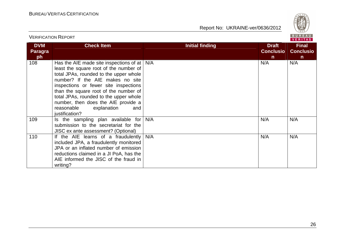

|                                    | , LINI IVAIIVILINEI VIN                                                                                                                                                                                                                                                                                                                                                                             | VERITAS                |                                                  |                                                  |  |
|------------------------------------|-----------------------------------------------------------------------------------------------------------------------------------------------------------------------------------------------------------------------------------------------------------------------------------------------------------------------------------------------------------------------------------------------------|------------------------|--------------------------------------------------|--------------------------------------------------|--|
| <b>DVM</b><br><b>Paragra</b><br>ph | <b>Check Item</b>                                                                                                                                                                                                                                                                                                                                                                                   | <b>Initial finding</b> | <b>Draft</b><br><b>Conclusio</b><br>$\mathsf{n}$ | <b>Final</b><br><b>Conclusio</b><br>$\mathsf{n}$ |  |
| 108                                | Has the AIE made site inspections of at $\mid$ N/A<br>least the square root of the number of<br>total JPAs, rounded to the upper whole<br>number? If the AIE makes no site<br>inspections or fewer site inspections<br>than the square root of the number of<br>total JPAs, rounded to the upper whole<br>number, then does the AIE provide a<br>reasonable<br>explanation<br>and<br>justification? |                        | N/A                                              | N/A                                              |  |
| 109                                | Is the sampling plan available for<br>submission to the secretariat for the<br>JISC ex ante assessment? (Optional)                                                                                                                                                                                                                                                                                  | N/A                    | N/A                                              | N/A                                              |  |
| 110                                | If the AIE learns of a fraudulently<br>included JPA, a fraudulently monitored<br>JPA or an inflated number of emission<br>reductions claimed in a JI PoA, has the<br>AIE informed the JISC of the fraud in<br>writing?                                                                                                                                                                              | N/A                    | N/A                                              | N/A                                              |  |

VERIFICATION REPORT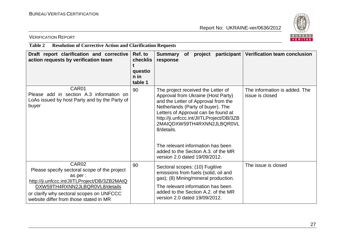

VERIFICATION REPORT

**Table 2 Resolution of Corrective Action and Clarification Requests** 

| Draft report clarification and corrective<br>action requests by verification team                                                                                                                                                                      | Ref. to<br><b>checklis</b><br>questio<br>$n$ in<br>table 1 | participant<br><b>Summary</b><br>of<br>project<br>response                                                                                                                                                                                                                                                                                                                                       | <b>Verification team conclusion</b>              |
|--------------------------------------------------------------------------------------------------------------------------------------------------------------------------------------------------------------------------------------------------------|------------------------------------------------------------|--------------------------------------------------------------------------------------------------------------------------------------------------------------------------------------------------------------------------------------------------------------------------------------------------------------------------------------------------------------------------------------------------|--------------------------------------------------|
| CAR01<br>Please add in section A.3 information on<br>LoAs issued by host Party and by the Party of<br>buyer                                                                                                                                            | 90                                                         | The project received the Letter of<br>Approval from Ukraine (Host Party)<br>and the Letter of Approval from the<br>Netherlands (Party of buyer). The<br>Letters of Approval can be found at<br>http://ji.unfccc.int/JIITLProject/DB/3ZB<br>2MAIQDXW59TH4RXNN2JLBQR0VL<br>8/details.<br>The relevant information has been<br>added to the Section A.3. of the MR<br>version 2.0 dated 19/09/2012. | The information is added. The<br>issue is closed |
| CAR <sub>02</sub><br>Please specify sectoral scope of the project<br>as per :<br>http://ji.unfccc.int/JIITLProject/DB/3ZB2MAIQ<br>DXW59TH4RXNN2JLBQR0VL8/details<br>or clarify why sectoral scopes on UNFCCC<br>website differ from those stated in MR | 90                                                         | Sectoral scopes: (10) Fugitive<br>emissions from fuels (solid, oil and<br>gas); (8) Mining/mineral production.<br>The relevant information has been<br>added to the Section A.2. of the MR<br>version 2.0 dated 19/09/2012.                                                                                                                                                                      | The issue is closed                              |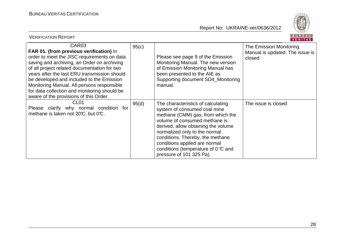VERIFICATION REPORT



|                                                                                                                                                                                                                                                                                                                                                                                                                                                 |       |                                                                                                                                                                                                                                                                                                                                                                                 | 1.11117777                                                           |
|-------------------------------------------------------------------------------------------------------------------------------------------------------------------------------------------------------------------------------------------------------------------------------------------------------------------------------------------------------------------------------------------------------------------------------------------------|-------|---------------------------------------------------------------------------------------------------------------------------------------------------------------------------------------------------------------------------------------------------------------------------------------------------------------------------------------------------------------------------------|----------------------------------------------------------------------|
| CAR <sub>03</sub><br>FAR 01. (from previous verification) In<br>order to meet the JISC requirements on data<br>saving and archiving, an Order on archiving<br>of all project related documentation for two<br>years after the last ERU transmission should<br>be developed and included to the Emission<br>Monitoring Manual. All persons responsible<br>for data collection and monitoring should be<br>aware of the provisions of this Order. | 95(c) | Please see page 9 of the Emission<br>Monitoring Manual. The new version<br>of Emission Monitoring Manual has<br>been presented to the AIE as<br>Supporting document SD4_Monitoring<br>manual.                                                                                                                                                                                   | The Emission Monitoring<br>Manual is updated. The issue is<br>closed |
| CL <sub>01</sub><br>Please clarify why normal condition for<br>methane is taken not 20°C, but 0°C.                                                                                                                                                                                                                                                                                                                                              | 95(d) | The characteristics of calculating<br>system of consumed coal mine<br>methane (CMM) gas, from which the<br>volume of consumed methane is<br>derived, allow obtaining the volume<br>normalized only to the normal<br>conditions. Thereby, the methane<br>conditions applied are normal<br>conditions (temperature of $0 \text{ } ^\circ\text{C}$ and<br>pressure of 101 325 Pa). | The issue is closed                                                  |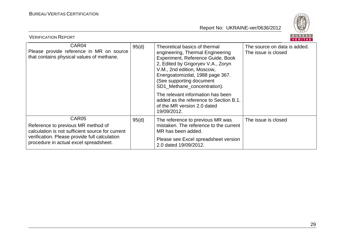

| BUREAU<br><b>VERIFICATION REPORT</b><br>VERITAS                                                                                                                                                        |       |                                                                                                                                                                                                                                                                          |                                                     |  |  |
|--------------------------------------------------------------------------------------------------------------------------------------------------------------------------------------------------------|-------|--------------------------------------------------------------------------------------------------------------------------------------------------------------------------------------------------------------------------------------------------------------------------|-----------------------------------------------------|--|--|
| CAR <sub>04</sub><br>Please provide reference in MR on source<br>that contains physical values of methane.                                                                                             | 95(d) | Theoretical basics of thermal<br>engineering, Thermal Engineering<br>Experiment, Reference Guide, Book<br>2, Edited by Grigoryev V.A., Zoryn<br>V.M., 2nd edition, Moscow,<br>Energoatomizdat, 1988 page 367.<br>(See supporting document<br>SD1_Methane_concentration). | The source on data is added.<br>The issue is closed |  |  |
|                                                                                                                                                                                                        |       | The relevant information has been<br>added as the reference to Section B.1.<br>of the MR version 2.0 dated<br>19/09/2012.                                                                                                                                                |                                                     |  |  |
| CAR <sub>05</sub><br>Reference to previous MR method of<br>calculation is not sufficient source for current<br>verification. Please provide full calculation<br>procedure in actual excel spreadsheet. | 95(d) | The reference to previous MR was<br>mistaken. The reference to the current<br>MR has been added.                                                                                                                                                                         | The issue is closed                                 |  |  |
|                                                                                                                                                                                                        |       | Please see Excel spreadsheet version<br>2.0 dated 19/09/2012.                                                                                                                                                                                                            |                                                     |  |  |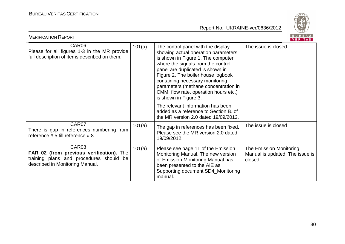

| BUREAU<br><b>VERIFICATION REPORT</b><br>VERITAS                                                                                 |        |                                                                                                                                                                                                                                                                                                                                                                              |                                                                      |  |
|---------------------------------------------------------------------------------------------------------------------------------|--------|------------------------------------------------------------------------------------------------------------------------------------------------------------------------------------------------------------------------------------------------------------------------------------------------------------------------------------------------------------------------------|----------------------------------------------------------------------|--|
| CAR06<br>Please for all figures 1-3 in the MR provide<br>full description of items described on them.                           | 101(a) | The control panel with the display<br>showing actual operation parameters<br>is shown in Figure 1. The computer<br>where the signals from the control<br>panel are duplicated is shown in<br>Figure 2. The boiler house logbook<br>containing necessary monitoring<br>parameters (methane concentration in<br>CMM, flow rate, operation hours etc.)<br>is shown in Figure 3. | The issue is closed                                                  |  |
|                                                                                                                                 |        | The relevant information has been<br>added as a reference to Section B. of<br>the MR version 2.0 dated 19/09/2012.                                                                                                                                                                                                                                                           |                                                                      |  |
| CAR07<br>There is gap in references numbering from<br>reference $# 5$ till reference $# 8$                                      | 101(a) | The gap in references has been fixed.<br>Please see the MR version 2.0 dated<br>19/09/2012.                                                                                                                                                                                                                                                                                  | The issue is closed                                                  |  |
| CAR08<br>FAR 02 (from previous verification). The<br>training plans and procedures should be<br>described in Monitoring Manual. | 101(a) | Please see page 11 of the Emission<br>Monitoring Manual. The new version<br>of Emission Monitoring Manual has<br>been presented to the AIE as<br>Supporting document SD4_Monitoring<br>manual.                                                                                                                                                                               | The Emission Monitoring<br>Manual is updated. The issue is<br>closed |  |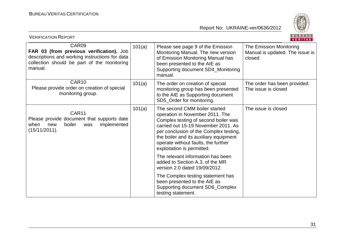

| BUREAU<br><b>VERIFICATION REPORT</b><br>VERITAS                                                                                                               |        |                                                                                                                                                                                                                                                                                                          |                                                                      |  |
|---------------------------------------------------------------------------------------------------------------------------------------------------------------|--------|----------------------------------------------------------------------------------------------------------------------------------------------------------------------------------------------------------------------------------------------------------------------------------------------------------|----------------------------------------------------------------------|--|
| CAR09<br>FAR 03 (from previous verification). Job<br>descriptions and working instructions for data<br>collection should be part of the monitoring<br>manual. | 101(a) | Please see page 9 of the Emission<br>Monitoring Manual. The new version<br>of Emission Monitoring Manual has<br>been presented to the AIE as<br>Supporting document SD4_Monitoring<br>manual.                                                                                                            | The Emission Monitoring<br>Manual is updated. The issue is<br>closed |  |
| CAR <sub>10</sub><br>Please provide order on creation of special<br>monitoring group.                                                                         | 101(a) | The order on creation of special<br>monitoring group has been presented<br>to the AIE as Supporting document<br>SD5_Order for monitoring.                                                                                                                                                                | The order has been provided.<br>The issue is closed                  |  |
| CAR11<br>Please provide document that supports date<br>implemented<br>when new<br>boiler<br>was<br>(15/11/2011).                                              | 101(a) | The second CMM boiler started<br>operation in November 2011. The<br>Complex testing of second boiler was<br>carried out 15-19 November 2011. As<br>per conclusion of the Complex testing,<br>the boiler and its auxiliary equipment<br>operate without faults, the further<br>exploitation is permitted. | The issue is closed                                                  |  |
|                                                                                                                                                               |        | The relevant information has been<br>added to Section A.3. of the MR<br>version 2.0 dated 19/09/2012.                                                                                                                                                                                                    |                                                                      |  |
|                                                                                                                                                               |        | The Complex testing statement has<br>been presented to the AIE as<br>Supporting document SD6_Complex<br>testing statement.                                                                                                                                                                               |                                                                      |  |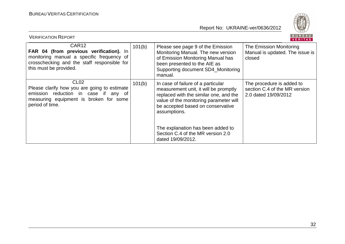

| BUREAU<br><b>VERIFICATION REPORT</b><br><b>VERITAS</b>                                                                                                                             |        |                                                                                                                                                                                                                      |                                                                                    |  |  |
|------------------------------------------------------------------------------------------------------------------------------------------------------------------------------------|--------|----------------------------------------------------------------------------------------------------------------------------------------------------------------------------------------------------------------------|------------------------------------------------------------------------------------|--|--|
| CAR <sub>12</sub><br>FAR 04 (from previous verification). In<br>monitoring manual a specific frequency of<br>crosschecking and the staff responsible for<br>this must be provided. | 101(b) | Please see page 9 of the Emission<br>Monitoring Manual. The new version<br>of Emission Monitoring Manual has<br>been presented to the AIE as<br>Supporting document SD4_Monitoring<br>manual.                        | The Emission Monitoring<br>Manual is updated. The issue is<br>closed               |  |  |
| CL <sub>02</sub><br>Please clarify how you are going to estimate<br>emission reduction in case if any of<br>measuring equipment is broken for some<br>period of time.              | 101(b) | In case of failure of a particular<br>measurement unit, it will be promptly<br>replaced with the similar one, and the<br>value of the monitoring parameter will<br>be accepted based on conservative<br>assumptions. | The procedure is added to<br>section C.4 of the MR version<br>2.0 dated 19/09/2012 |  |  |
|                                                                                                                                                                                    |        | The explanation has been added to<br>Section C.4 of the MR version 2.0<br>dated 19/09/2012.                                                                                                                          |                                                                                    |  |  |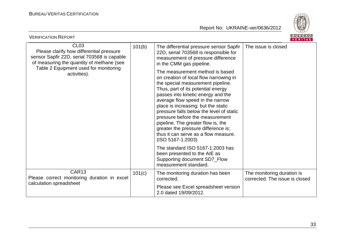

| BUREAU<br><b>VERIFICATION REPORT</b><br>VERITAS                                                                                                                                                                   |        |                                                                                                                                                                                                                                                                                                                                                                                                                                                                                                                                                                                                                                                                                                                                                                                     |                                                              |  |  |
|-------------------------------------------------------------------------------------------------------------------------------------------------------------------------------------------------------------------|--------|-------------------------------------------------------------------------------------------------------------------------------------------------------------------------------------------------------------------------------------------------------------------------------------------------------------------------------------------------------------------------------------------------------------------------------------------------------------------------------------------------------------------------------------------------------------------------------------------------------------------------------------------------------------------------------------------------------------------------------------------------------------------------------------|--------------------------------------------------------------|--|--|
| CL <sub>03</sub><br>Please clarify how differential pressure<br>sensor Sapfir 22D, serial 703568 is capable<br>of measuring the quantity of methane (see<br>Table 2 Equipment used for monitoring<br>activities). | 101(b) | The differential pressure sensor Sapfir<br>22D, serial 703568 is responsible for<br>measurement of pressure difference<br>in the CMM gas pipeline.<br>The measurement method is based<br>on creation of local flow narrowing in<br>the special measurement pipeline.<br>Thus, part of its potential energy<br>passes into kinetic energy and the<br>average flow speed in the narrow<br>place is increasing; but the static<br>pressure falls below the level of static<br>pressure before the measurement<br>pipeline. The greater flow is, the<br>greater the pressure difference is;<br>thus it can serve as a flow measure.<br>$(ISO 5167-1:2003)$<br>The standard ISO 5167-1:2003 has<br>been presented to the AIE as<br>Supporting document SD7_Flow<br>measurement standard. | The issue is closed                                          |  |  |
| CAR13<br>Please correct monitoring duration in excel<br>calculation spreadsheet                                                                                                                                   | 101(c) | The monitoring duration has been<br>corrected.<br>Please see Excel spreadsheet version                                                                                                                                                                                                                                                                                                                                                                                                                                                                                                                                                                                                                                                                                              | The monitoring duration is<br>corrected. The issue is closed |  |  |
|                                                                                                                                                                                                                   |        | 2.0 dated 19/09/2012.                                                                                                                                                                                                                                                                                                                                                                                                                                                                                                                                                                                                                                                                                                                                                               |                                                              |  |  |